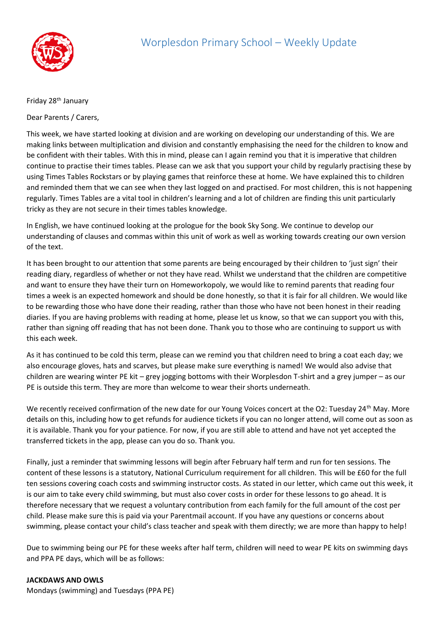

## Friday 28<sup>th</sup> January

Dear Parents / Carers,

This week, we have started looking at division and are working on developing our understanding of this. We are making links between multiplication and division and constantly emphasising the need for the children to know and be confident with their tables. With this in mind, please can I again remind you that it is imperative that children continue to practise their times tables. Please can we ask that you support your child by regularly practising these by using Times Tables Rockstars or by playing games that reinforce these at home. We have explained this to children and reminded them that we can see when they last logged on and practised. For most children, this is not happening regularly. Times Tables are a vital tool in children's learning and a lot of children are finding this unit particularly tricky as they are not secure in their times tables knowledge.

In English, we have continued looking at the prologue for the book Sky Song. We continue to develop our understanding of clauses and commas within this unit of work as well as working towards creating our own version of the text.

It has been brought to our attention that some parents are being encouraged by their children to 'just sign' their reading diary, regardless of whether or not they have read. Whilst we understand that the children are competitive and want to ensure they have their turn on Homeworkopoly, we would like to remind parents that reading four times a week is an expected homework and should be done honestly, so that it is fair for all children. We would like to be rewarding those who have done their reading, rather than those who have not been honest in their reading diaries. If you are having problems with reading at home, please let us know, so that we can support you with this, rather than signing off reading that has not been done. Thank you to those who are continuing to support us with this each week.

As it has continued to be cold this term, please can we remind you that children need to bring a coat each day; we also encourage gloves, hats and scarves, but please make sure everything is named! We would also advise that children are wearing winter PE kit – grey jogging bottoms with their Worplesdon T-shirt and a grey jumper – as our PE is outside this term. They are more than welcome to wear their shorts underneath.

We recently received confirmation of the new date for our Young Voices concert at the O2: Tuesday 24<sup>th</sup> May. More details on this, including how to get refunds for audience tickets if you can no longer attend, will come out as soon as it is available. Thank you for your patience. For now, if you are still able to attend and have not yet accepted the transferred tickets in the app, please can you do so. Thank you.

Finally, just a reminder that swimming lessons will begin after February half term and run for ten sessions. The content of these lessons is a statutory, National Curriculum requirement for all children. This will be £60 for the full ten sessions covering coach costs and swimming instructor costs. As stated in our letter, which came out this week, it is our aim to take every child swimming, but must also cover costs in order for these lessons to go ahead. It is therefore necessary that we request a voluntary contribution from each family for the full amount of the cost per child. Please make sure this is paid via your Parentmail account. If you have any questions or concerns about swimming, please contact your child's class teacher and speak with them directly; we are more than happy to help!

Due to swimming being our PE for these weeks after half term, children will need to wear PE kits on swimming days and PPA PE days, which will be as follows:

## **JACKDAWS AND OWLS**

Mondays (swimming) and Tuesdays (PPA PE)